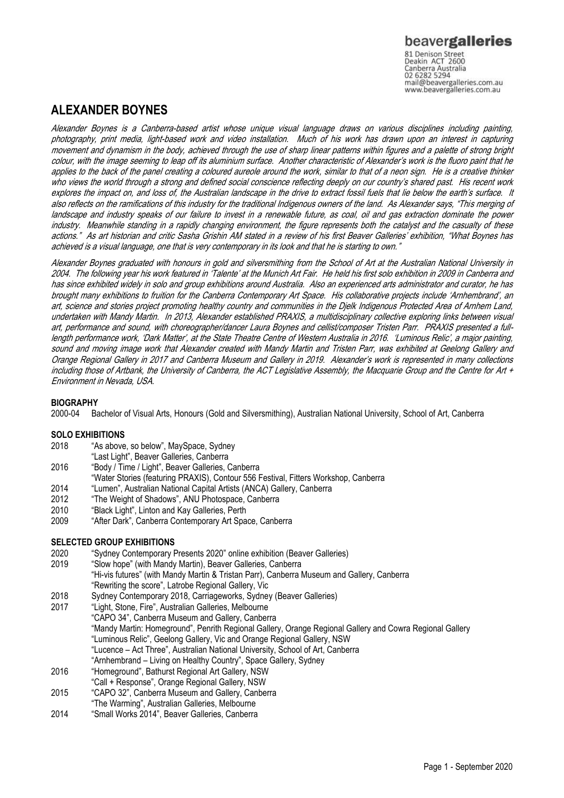Canberra Australia mail@beavergalleries.com.au www.beavergalleries.com.au

# **ALEXANDER BOYNES**

Alexander Boynes is a Canberra-based artist whose unique visual language draws on various disciplines including painting, photography, print media, light-based work and video installation. Much of his work has drawn upon an interest in capturing movement and dynamism in the body, achieved through the use of sharp linear patterns within figures and a palette of strong bright colour, with the image seeming to leap off its aluminium surface. Another characteristic of Alexander's work is the fluoro paint that he applies to the back of the panel creating a coloured aureole around the work, similar to that of a neon sign. He is a creative thinker who views the world through a strong and defined social conscience reflecting deeply on our country's shared past. His recent work explores the impact on, and loss of, the Australian landscape in the drive to extract fossil fuels that lie below the earth's surface. It also reflects on the ramifications of this industry for the traditional Indigenous owners of the land. As Alexander says, "This merging of landscape and industry speaks of our failure to invest in a renewable future, as coal, oil and gas extraction dominate the power industry. Meanwhile standing in a rapidly changing environment, the figure represents both the catalyst and the casualty of these actions." As art historian and critic Sasha Grishin AM stated in a review of his first Beaver Galleries' exhibition, "What Boynes has achieved is a visual language, one that is very contemporary in its look and that he is starting to own."

Alexander Boynes graduated with honours in gold and silversmithing from the School of Art at the Australian National University in 2004. The following year his work featured in 'Talente' at the Munich Art Fair. He held his first solo exhibition in 2009 in Canberra and has since exhibited widely in solo and group exhibitions around Australia. Also an experienced arts administrator and curator, he has brought many exhibitions to fruition for the Canberra Contemporary Art Space. His collaborative projects include 'Arnhembrand', an art, science and stories project promoting healthy country and communities in the Djelk Indigenous Protected Area of Arnhem Land, undertaken with Mandy Martin. In 2013, Alexander established PRAXIS, a multidisciplinary collective exploring links between visual art, performance and sound, with choreographer/dancer Laura Boynes and cellist/composer Tristen Parr. PRAXIS presented a fulllength performance work, 'Dark Matter', at the State Theatre Centre of Western Australia in 2016. 'Luminous Relic', a major painting, sound and moving image work that Alexander created with Mandy Martin and Tristen Parr, was exhibited at Geelong Gallery and Orange Regional Gallery in 2017 and Canberra Museum and Gallery in 2019. Alexander's work is represented in many collections including those of Artbank, the University of Canberra, the ACT Legislative Assembly, the Macquarie Group and the Centre for Art + Environment in Nevada, USA.

## **BIOGRAPHY**

2000-04 Bachelor of Visual Arts, Honours (Gold and Silversmithing), Australian National University, School of Art, Canberra

## **SOLO EXHIBITIONS**

- 2018 "As above, so below", MaySpace, Sydney
	- "Last Light", Beaver Galleries, Canberra
- 2016 "Body / Time / Light", Beaver Galleries, Canberra
- "Water Stories (featuring PRAXIS), Contour 556 Festival, Fitters Workshop, Canberra
- 2014 "Lumen", Australian National Capital Artists (ANCA) Gallery, Canberra
- 2012 "The Weight of Shadows", ANU Photospace, Canberra
- 2010 "Black Light", Linton and Kay Galleries, Perth
- 2009 "After Dark", Canberra Contemporary Art Space, Canberra

## **SELECTED GROUP EXHIBITIONS**

- 2020 "Sydney Contemporary Presents 2020" online exhibition (Beaver Galleries)
- "Slow hope" (with Mandy Martin), Beaver Galleries, Canberra "Hi-vis futures" (with Mandy Martin & Tristan Parr), Canberra Museum and Gallery, Canberra "Rewriting the score", Latrobe Regional Gallery, Vic
- 2018 Sydney Contemporary 2018, Carriageworks, Sydney (Beaver Galleries)
- 2017 "Light, Stone, Fire", Australian Galleries, Melbourne
	- "CAPO 34", Canberra Museum and Gallery, Canberra
		- "Mandy Martin: Homeground", Penrith Regional Gallery, Orange Regional Gallery and Cowra Regional Gallery
		- "Luminous Relic", Geelong Gallery, Vic and Orange Regional Gallery, NSW
		- "Lucence Act Three", Australian National University, School of Art, Canberra
	- "Arnhembrand Living on Healthy Country", Space Gallery, Sydney
- 2016 "Homeground", Bathurst Regional Art Gallery, NSW
- "Call + Response", Orange Regional Gallery, NSW
- 2015 "CAPO 32", Canberra Museum and Gallery, Canberra "The Warming", Australian Galleries, Melbourne
- 2014 "Small Works 2014", Beaver Galleries, Canberra